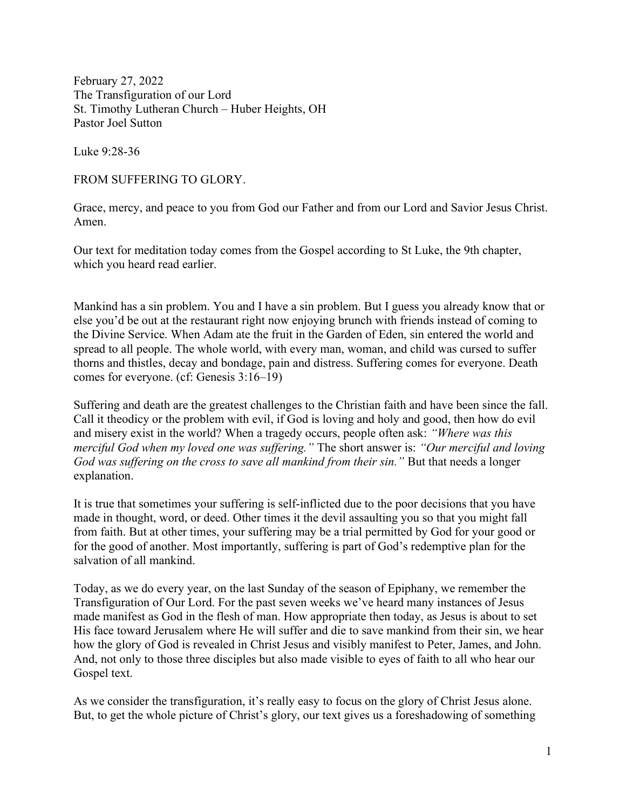February 27, 2022 The Transfiguration of our Lord St. Timothy Lutheran Church – Huber Heights, OH Pastor Joel Sutton

Luke 9:28-36

FROM SUFFERING TO GLORY.

Grace, mercy, and peace to you from God our Father and from our Lord and Savior Jesus Christ. Amen.

Our text for meditation today comes from the Gospel according to St Luke, the 9th chapter, which you heard read earlier.

Mankind has a sin problem. You and I have a sin problem. But I guess you already know that or else you'd be out at the restaurant right now enjoying brunch with friends instead of coming to the Divine Service. When Adam ate the fruit in the Garden of Eden, sin entered the world and spread to all people. The whole world, with every man, woman, and child was cursed to suffer thorns and thistles, decay and bondage, pain and distress. Suffering comes for everyone. Death comes for everyone. (cf: Genesis 3:16–19)

Suffering and death are the greatest challenges to the Christian faith and have been since the fall. Call it theodicy or the problem with evil, if God is loving and holy and good, then how do evil and misery exist in the world? When a tragedy occurs, people often ask: "Where was this merciful God when my loved one was suffering." The short answer is: "Our merciful and loving God was suffering on the cross to save all mankind from their sin." But that needs a longer explanation.

It is true that sometimes your suffering is self-inflicted due to the poor decisions that you have made in thought, word, or deed. Other times it the devil assaulting you so that you might fall from faith. But at other times, your suffering may be a trial permitted by God for your good or for the good of another. Most importantly, suffering is part of God's redemptive plan for the salvation of all mankind.

Today, as we do every year, on the last Sunday of the season of Epiphany, we remember the Transfiguration of Our Lord. For the past seven weeks we've heard many instances of Jesus made manifest as God in the flesh of man. How appropriate then today, as Jesus is about to set His face toward Jerusalem where He will suffer and die to save mankind from their sin, we hear how the glory of God is revealed in Christ Jesus and visibly manifest to Peter, James, and John. And, not only to those three disciples but also made visible to eyes of faith to all who hear our Gospel text.

As we consider the transfiguration, it's really easy to focus on the glory of Christ Jesus alone. But, to get the whole picture of Christ's glory, our text gives us a foreshadowing of something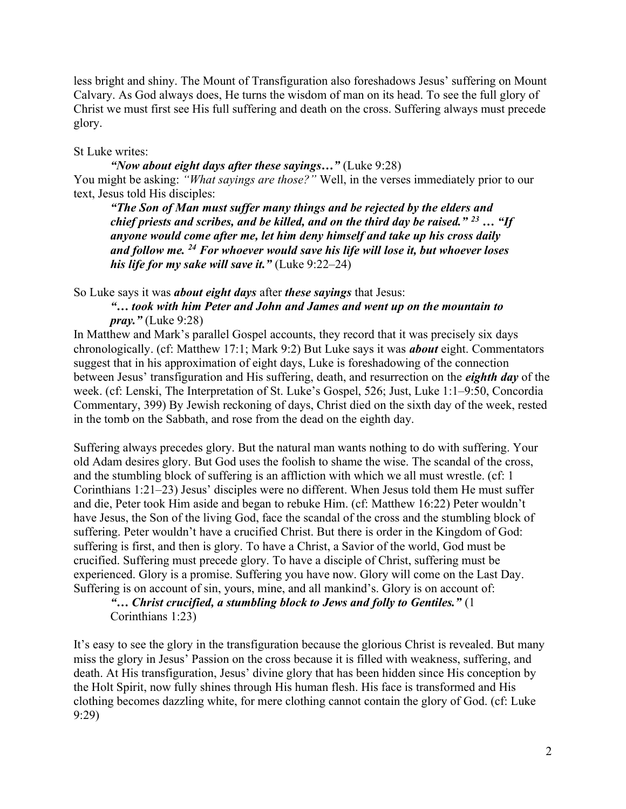less bright and shiny. The Mount of Transfiguration also foreshadows Jesus' suffering on Mount Calvary. As God always does, He turns the wisdom of man on its head. To see the full glory of Christ we must first see His full suffering and death on the cross. Suffering always must precede glory.

## St Luke writes:

"Now about eight days after these sayings..." (Luke  $9:28$ ) You might be asking: "What sayings are those?" Well, in the verses immediately prior to our text, Jesus told His disciples:

"The Son of Man must suffer many things and be rejected by the elders and chief priests and scribes, and be killed, and on the third day be raised."  $^{23}$  ... "If anyone would come after me, let him deny himself and take up his cross daily and follow me.  $^{24}$  For whoever would save his life will lose it, but whoever loses his life for my sake will save it." (Luke  $9:22-24$ )

So Luke says it was *about eight days* after *these sayings* that Jesus:

"… took with him Peter and John and James and went up on the mountain to  $pray.$ " (Luke 9:28)

In Matthew and Mark's parallel Gospel accounts, they record that it was precisely six days chronologically. (cf: Matthew 17:1; Mark 9:2) But Luke says it was *about* eight. Commentators suggest that in his approximation of eight days, Luke is foreshadowing of the connection between Jesus' transfiguration and His suffering, death, and resurrection on the *eighth day* of the week. (cf: Lenski, The Interpretation of St. Luke's Gospel, 526; Just, Luke 1:1–9:50, Concordia Commentary, 399) By Jewish reckoning of days, Christ died on the sixth day of the week, rested in the tomb on the Sabbath, and rose from the dead on the eighth day.

Suffering always precedes glory. But the natural man wants nothing to do with suffering. Your old Adam desires glory. But God uses the foolish to shame the wise. The scandal of the cross, and the stumbling block of suffering is an affliction with which we all must wrestle. (cf: 1 Corinthians 1:21–23) Jesus' disciples were no different. When Jesus told them He must suffer and die, Peter took Him aside and began to rebuke Him. (cf: Matthew 16:22) Peter wouldn't have Jesus, the Son of the living God, face the scandal of the cross and the stumbling block of suffering. Peter wouldn't have a crucified Christ. But there is order in the Kingdom of God: suffering is first, and then is glory. To have a Christ, a Savior of the world, God must be crucified. Suffering must precede glory. To have a disciple of Christ, suffering must be experienced. Glory is a promise. Suffering you have now. Glory will come on the Last Day. Suffering is on account of sin, yours, mine, and all mankind's. Glory is on account of:

"... Christ crucified, a stumbling block to Jews and folly to Gentiles."  $(1)$ Corinthians 1:23)

It's easy to see the glory in the transfiguration because the glorious Christ is revealed. But many miss the glory in Jesus' Passion on the cross because it is filled with weakness, suffering, and death. At His transfiguration, Jesus' divine glory that has been hidden since His conception by the Holt Spirit, now fully shines through His human flesh. His face is transformed and His clothing becomes dazzling white, for mere clothing cannot contain the glory of God. (cf: Luke 9:29)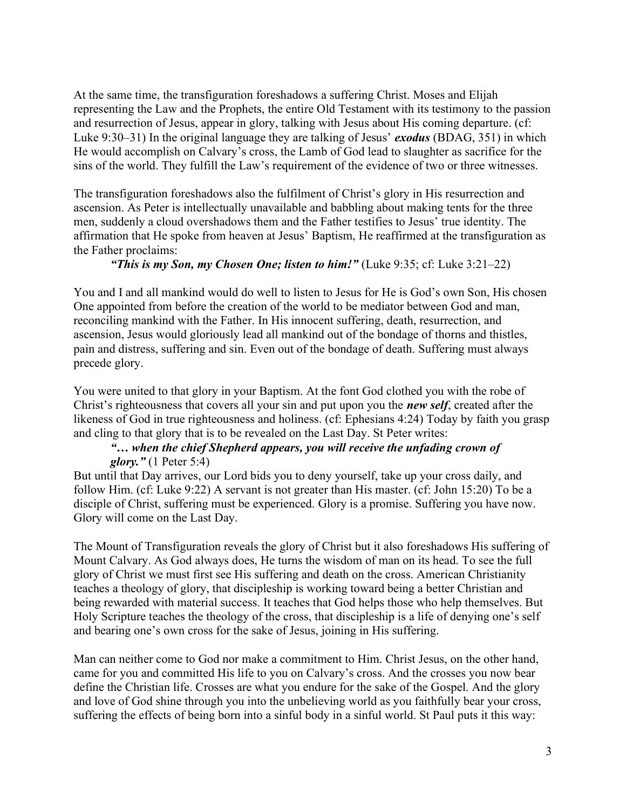At the same time, the transfiguration foreshadows a suffering Christ. Moses and Elijah representing the Law and the Prophets, the entire Old Testament with its testimony to the passion and resurrection of Jesus, appear in glory, talking with Jesus about His coming departure. (cf: Luke 9:30–31) In the original language they are talking of Jesus' *exodus* (BDAG, 351) in which He would accomplish on Calvary's cross, the Lamb of God lead to slaughter as sacrifice for the sins of the world. They fulfill the Law's requirement of the evidence of two or three witnesses.

The transfiguration foreshadows also the fulfilment of Christ's glory in His resurrection and ascension. As Peter is intellectually unavailable and babbling about making tents for the three men, suddenly a cloud overshadows them and the Father testifies to Jesus' true identity. The affirmation that He spoke from heaven at Jesus' Baptism, He reaffirmed at the transfiguration as the Father proclaims:

#### "This is my Son, my Chosen One; listen to him!" (Luke 9:35; cf: Luke 3:21–22)

You and I and all mankind would do well to listen to Jesus for He is God's own Son, His chosen One appointed from before the creation of the world to be mediator between God and man, reconciling mankind with the Father. In His innocent suffering, death, resurrection, and ascension, Jesus would gloriously lead all mankind out of the bondage of thorns and thistles, pain and distress, suffering and sin. Even out of the bondage of death. Suffering must always precede glory.

You were united to that glory in your Baptism. At the font God clothed you with the robe of Christ's righteousness that covers all your sin and put upon you the **new self**, created after the likeness of God in true righteousness and holiness. (cf: Ephesians 4:24) Today by faith you grasp and cling to that glory that is to be revealed on the Last Day. St Peter writes:

#### "… when the chief Shepherd appears, you will receive the unfading crown of glory."  $(1$  Peter 5:4)

But until that Day arrives, our Lord bids you to deny yourself, take up your cross daily, and follow Him. (cf: Luke 9:22) A servant is not greater than His master. (cf: John 15:20) To be a disciple of Christ, suffering must be experienced. Glory is a promise. Suffering you have now. Glory will come on the Last Day.

The Mount of Transfiguration reveals the glory of Christ but it also foreshadows His suffering of Mount Calvary. As God always does, He turns the wisdom of man on its head. To see the full glory of Christ we must first see His suffering and death on the cross. American Christianity teaches a theology of glory, that discipleship is working toward being a better Christian and being rewarded with material success. It teaches that God helps those who help themselves. But Holy Scripture teaches the theology of the cross, that discipleship is a life of denying one's self and bearing one's own cross for the sake of Jesus, joining in His suffering.

Man can neither come to God nor make a commitment to Him. Christ Jesus, on the other hand, came for you and committed His life to you on Calvary's cross. And the crosses you now bear define the Christian life. Crosses are what you endure for the sake of the Gospel. And the glory and love of God shine through you into the unbelieving world as you faithfully bear your cross, suffering the effects of being born into a sinful body in a sinful world. St Paul puts it this way: